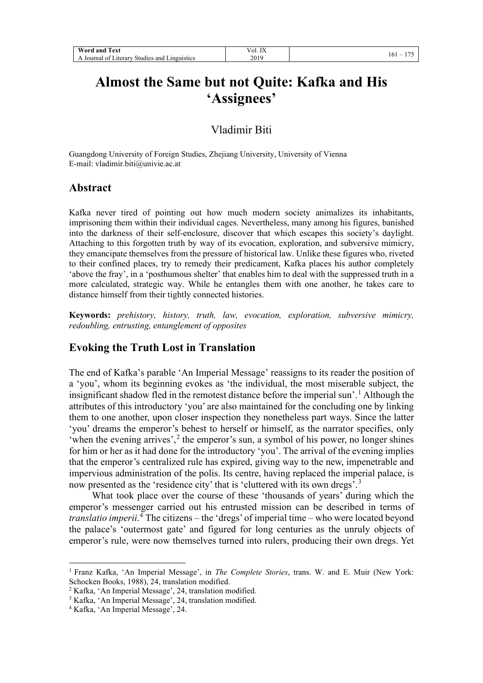| Word<br><b>CONTRACTOR</b><br>ext:<br>and                                                  | ---<br>. .<br>$\alpha$ .<br>$\Lambda$<br>--- |          |
|-------------------------------------------------------------------------------------------|----------------------------------------------|----------|
| $\sim$ $\sim$<br>Linguistics<br>Journal<br>and<br><i>aterary</i><br>Studies<br>$^{\circ}$ | 2019                                         | 161<br>- |

## **Almost the Same but not Quite: Kafka and His 'Assignees'**

## Vladimir Biti

Guangdong University of Foreign Studies, Zhejiang University, University of Vienna E-mail: vladimir.biti@univie.ac.at

#### **Abstract**

Kafka never tired of pointing out how much modern society animalizes its inhabitants, imprisoning them within their individual cages. Nevertheless, many among his figures, banished into the darkness of their self-enclosure, discover that which escapes this society's daylight. Attaching to this forgotten truth by way of its evocation, exploration, and subversive mimicry, they emancipate themselves from the pressure of historical law. Unlike these figures who, riveted to their confined places, try to remedy their predicament, Kafka places his author completely 'above the fray', in a 'posthumous shelter' that enables him to deal with the suppressed truth in a more calculated, strategic way. While he entangles them with one another, he takes care to distance himself from their tightly connected histories.

**Keywords:** *prehistory, history, truth, law, evocation, exploration, subversive mimicry, redoubling, entrusting, entanglement of opposites*

## **Evoking the Truth Lost in Translation**

The end of Kafka's parable 'An Imperial Message' reassigns to its reader the position of a 'you', whom its beginning evokes as 'the individual, the most miserable subject, the insignificant shadow fled in the remotest distance before the imperial sun'. [1](#page-0-0) Although the attributes of this introductory 'you' are also maintained for the concluding one by linking them to one another, upon closer inspection they nonetheless part ways. Since the latter 'you' dreams the emperor's behest to herself or himself, as the narrator specifies, only 'when the evening arrives', $2$  the emperor's sun, a symbol of his power, no longer shines for him or her as it had done for the introductory 'you'. The arrival of the evening implies that the emperor's centralized rule has expired, giving way to the new, impenetrable and impervious administration of the polis. Its centre, having replaced the imperial palace, is now presented as the 'residence city' that is 'cluttered with its own dregs'.<sup>[3](#page-0-2)</sup>

What took place over the course of these 'thousands of years' during which the emperor's messenger carried out his entrusted mission can be described in terms of *translatio imperii*. [4](#page-0-3) The citizens – the 'dregs' of imperial time – who were located beyond the palace's 'outermost gate' and figured for long centuries as the unruly objects of emperor's rule, were now themselves turned into rulers, producing their own dregs. Yet

<span id="page-0-0"></span><sup>1</sup> Franz Kafka, 'An Imperial Message', in *The Complete Stories*, trans. W. and E. Muir (New York: Schocken Books, 1988), 24, translation modified.

<span id="page-0-1"></span><sup>2</sup> Kafka, 'An Imperial Message', 24, translation modified.

<sup>&</sup>lt;sup>3</sup> Kafka, 'An Imperial Message', 24, translation modified.

<span id="page-0-3"></span><span id="page-0-2"></span><sup>4</sup> Kafka, 'An Imperial Message', 24.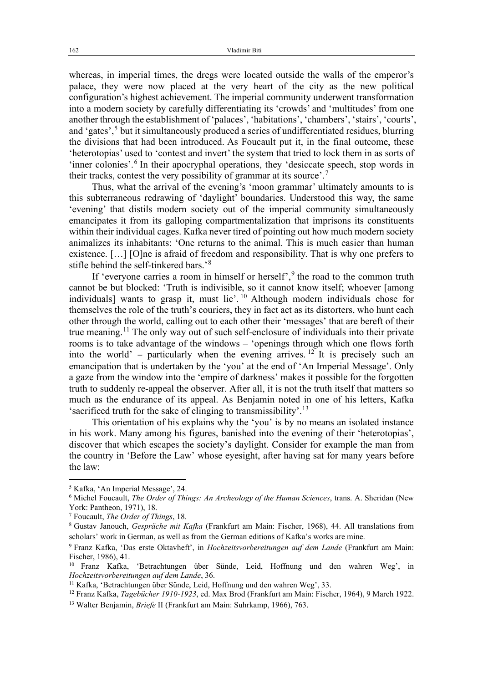whereas, in imperial times, the dregs were located outside the walls of the emperor's palace, they were now placed at the very heart of the city as the new political configuration's highest achievement. The imperial community underwent transformation into a modern society by carefully differentiating its 'crowds' and 'multitudes' from one another through the establishment of 'palaces', 'habitations', 'chambers', 'stairs', 'courts', and 'gates',<sup>[5](#page-1-0)</sup> but it simultaneously produced a series of undifferentiated residues, blurring the divisions that had been introduced. As Foucault put it, in the final outcome, these 'heterotopias' used to 'contest and invert' the system that tried to lock them in as sorts of 'inner colonies'.<sup>[6](#page-1-1)</sup> In their apocryphal operations, they 'desiccate speech, stop words in their tracks, contest the very possibility of grammar at its source'.<sup>[7](#page-1-2)</sup>

Thus, what the arrival of the evening's 'moon grammar' ultimately amounts to is this subterraneous redrawing of 'daylight' boundaries. Understood this way, the same 'evening' that distils modern society out of the imperial community simultaneously emancipates it from its galloping compartmentalization that imprisons its constituents within their individual cages. Kafka never tired of pointing out how much modern society animalizes its inhabitants: 'One returns to the animal. This is much easier than human existence. […] [O]ne is afraid of freedom and responsibility. That is why one prefers to stifle behind the self-tinkered bars.'<sup>[8](#page-1-3)</sup>

If 'everyone carries a room in himself or herself', <sup>[9](#page-1-4)</sup> the road to the common truth cannot be but blocked: 'Truth is indivisible, so it cannot know itself; whoever [among individuals] wants to grasp it, must lie'.<sup>[10](#page-1-5)</sup> Although modern individuals chose for themselves the role of the truth's couriers, they in fact act as its distorters, who hunt each other through the world, calling out to each other their 'messages' that are bereft of their true meaning.<sup>[11](#page-1-6)</sup> The only way out of such self-enclosure of individuals into their private rooms is to take advantage of the windows – 'openings through which one flows forth into the world' – particularly when the evening arrives.  $12$ <sup>2</sup> It is precisely such an emancipation that is undertaken by the 'you' at the end of 'An Imperial Message'. Only a gaze from the window into the 'empire of darkness' makes it possible for the forgotten truth to suddenly re-appeal the observer. After all, it is not the truth itself that matters so much as the endurance of its appeal. As Benjamin noted in one of his letters, Kafka 'sacrificed truth for the sake of clinging to transmissibility'.<sup>[13](#page-1-8)</sup>

This orientation of his explains why the 'you' is by no means an isolated instance in his work. Many among his figures, banished into the evening of their 'heterotopias', discover that which escapes the society's daylight. Consider for example the man from the country in 'Before the Law' whose eyesight, after having sat for many years before the law:

<span id="page-1-0"></span><sup>5</sup> Kafka, 'An Imperial Message', 24.

<span id="page-1-1"></span><sup>6</sup> Michel Foucault, *The Order of Things: An Archeology of the Human Sciences*, trans. A. Sheridan (New York: Pantheon, 1971), 18.

<span id="page-1-2"></span><sup>7</sup> Foucault, *The Order of Things*, 18.

<span id="page-1-3"></span><sup>8</sup> Gustav Janouch, *Gespräche mit Kafka* (Frankfurt am Main: Fischer, 1968), 44. All translations from scholars' work in German, as well as from the German editions of Kafka's works are mine.

<span id="page-1-4"></span><sup>9</sup> Franz Kafka, 'Das erste Oktavheft', in *Hochzeitsvorbereitungen auf dem Lande* (Frankfurt am Main: Fischer, 1986), 41.

<span id="page-1-5"></span><sup>10</sup> Franz Kafka, 'Betrachtungen über Sünde, Leid, Hoffnung und den wahren Weg', in *Hochzeitsvorbereitungen auf dem Lande*, 36.

<span id="page-1-6"></span><sup>11</sup> Kafka, 'Betrachtungen über Sünde, Leid, Hoffnung und den wahren Weg', 33.

<span id="page-1-7"></span><sup>12</sup> Franz Kafka, *Tagebücher 1910-1923*, ed. Max Brod (Frankfurt am Main: Fischer, 1964), 9 March 1922.

<span id="page-1-8"></span><sup>13</sup> Walter Benjamin, *Briefe* II (Frankfurt am Main: Suhrkamp, 1966), 763.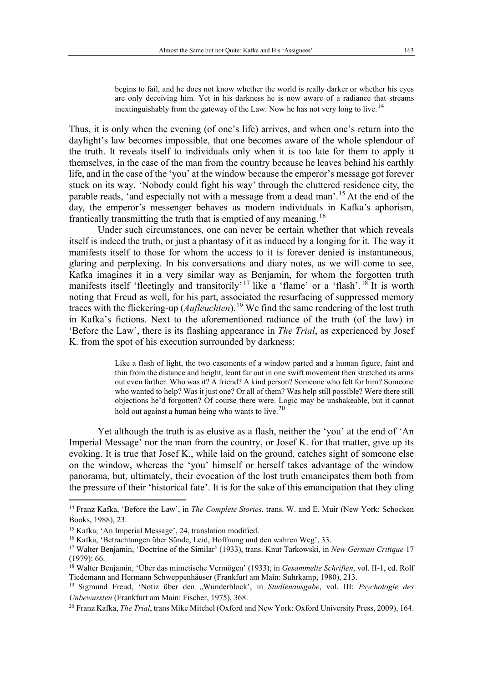begins to fail, and he does not know whether the world is really darker or whether his eyes are only deceiving him. Yet in his darkness he is now aware of a radiance that streams inextinguishably from the gateway of the Law. Now he has not very long to live.<sup>[14](#page-2-0)</sup>

Thus, it is only when the evening (of one's life) arrives, and when one's return into the daylight's law becomes impossible, that one becomes aware of the whole splendour of the truth. It reveals itself to individuals only when it is too late for them to apply it themselves, in the case of the man from the country because he leaves behind his earthly life, and in the case of the 'you' at the window because the emperor's message got forever stuck on its way. 'Nobody could fight his way' through the cluttered residence city, the parable reads, 'and especially not with a message from a dead man'.<sup>[15](#page-2-1)</sup> At the end of the day, the emperor's messenger behaves as modern individuals in Kafka's aphorism, frantically transmitting the truth that is emptied of any meaning.<sup>[16](#page-2-2)</sup>

Under such circumstances, one can never be certain whether that which reveals itself is indeed the truth, or just a phantasy of it as induced by a longing for it. The way it manifests itself to those for whom the access to it is forever denied is instantaneous, glaring and perplexing. In his conversations and diary notes, as we will come to see, Kafka imagines it in a very similar way as Benjamin, for whom the forgotten truth manifests itself 'fleetingly and transitorily'<sup>[17](#page-2-3)</sup> like a 'flame' or a 'flash'.<sup>[18](#page-2-4)</sup> It is worth noting that Freud as well, for his part, associated the resurfacing of suppressed memory traces with the flickering-up (*Aufleuchten*). [19](#page-2-5) We find the same rendering of the lost truth in Kafka's fictions. Next to the aforementioned radiance of the truth (of the law) in 'Before the Law', there is its flashing appearance in *The Trial*, as experienced by Josef K. from the spot of his execution surrounded by darkness:

> Like a flash of light, the two casements of a window parted and a human figure, faint and thin from the distance and height, leant far out in one swift movement then stretched its arms out even farther. Who was it? A friend? A kind person? Someone who felt for him? Someone who wanted to help? Was it just one? Or all of them? Was help still possible? Were there still objections he'd forgotten? Of course there were. Logic may be unshakeable, but it cannot hold out against a human being who wants to live.<sup>[20](#page-2-6)</sup>

Yet although the truth is as elusive as a flash, neither the 'you' at the end of 'An Imperial Message' nor the man from the country, or Josef K. for that matter, give up its evoking. It is true that Josef K., while laid on the ground, catches sight of someone else on the window, whereas the 'you' himself or herself takes advantage of the window panorama, but, ultimately, their evocation of the lost truth emancipates them both from the pressure of their 'historical fate'. It is for the sake of this emancipation that they cling

<span id="page-2-0"></span><sup>14</sup> Franz Kafka, 'Before the Law', in *The Complete Stories*, trans. W. and E. Muir (New York: Schocken Books, 1988), 23.

<span id="page-2-1"></span><sup>15</sup> Kafka, 'An Imperial Message', 24, translation modified.

<span id="page-2-2"></span><sup>16</sup> Kafka, 'Betrachtungen über Sünde, Leid, Hoffnung und den wahren Weg', 33.

<span id="page-2-3"></span><sup>17</sup> Walter Benjamin, 'Doctrine of the Similar' (1933), trans. Knut Tarkowski, in *New German Critique* 17 (1979): 66.

<span id="page-2-4"></span><sup>18</sup> Walter Benjamin, 'Über das mimetische Vermögen' (1933), in *Gesammelte Schriften*, vol. II-1, ed. Rolf Tiedemann and Hermann Schweppenhäuser (Frankfurt am Main: Suhrkamp, 1980), 213.

<span id="page-2-5"></span><sup>&</sup>lt;sup>19</sup> Sigmund Freud, 'Notiz über den "Wunderblock', in *Studienausgabe*, vol. III: Psychologie des *Unbewussten* (Frankfurt am Main: Fischer, 1975), 368.

<span id="page-2-6"></span><sup>20</sup> Franz Kafka, *The Trial*, trans Mike Mitchel (Oxford and New York: Oxford University Press, 2009), 164.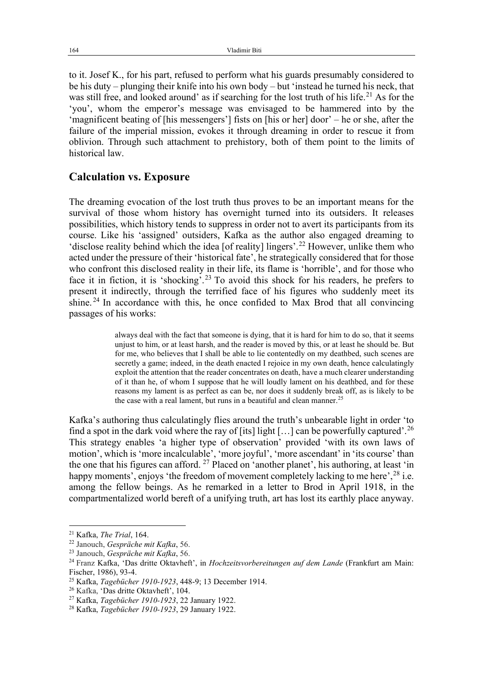to it. Josef K., for his part, refused to perform what his guards presumably considered to be his duty – plunging their knife into his own body – but 'instead he turned his neck, that was still free, and looked around' as if searching for the lost truth of his life.<sup>[21](#page-3-0)</sup> As for the 'you', whom the emperor's message was envisaged to be hammered into by the 'magnificent beating of [his messengers'] fists on [his or her] door' – he or she, after the failure of the imperial mission, evokes it through dreaming in order to rescue it from oblivion. Through such attachment to prehistory, both of them point to the limits of historical law.

#### **Calculation vs. Exposure**

The dreaming evocation of the lost truth thus proves to be an important means for the survival of those whom history has overnight turned into its outsiders. It releases possibilities, which history tends to suppress in order not to avert its participants from its course. Like his 'assigned' outsiders, Kafka as the author also engaged dreaming to 'disclose reality behind which the idea [of reality] lingers'.<sup>[22](#page-3-1)</sup> However, unlike them who acted under the pressure of their 'historical fate', he strategically considered that for those who confront this disclosed reality in their life, its flame is 'horrible', and for those who face it in fiction, it is 'shocking'.<sup>[23](#page-3-2)</sup> To avoid this shock for his readers, he prefers to present it indirectly, through the terrified face of his figures who suddenly meet its shine.<sup>[24](#page-3-3)</sup> In accordance with this, he once confided to Max Brod that all convincing passages of his works:

> always deal with the fact that someone is dying, that it is hard for him to do so, that it seems unjust to him, or at least harsh, and the reader is moved by this, or at least he should be. But for me, who believes that I shall be able to lie contentedly on my deathbed, such scenes are secretly a game; indeed, in the death enacted I rejoice in my own death, hence calculatingly exploit the attention that the reader concentrates on death, have a much clearer understanding of it than he, of whom I suppose that he will loudly lament on his deathbed, and for these reasons my lament is as perfect as can be, nor does it suddenly break off, as is likely to be the case with a real lament, but runs in a beautiful and clean manner.<sup>[25](#page-3-4)</sup>

Kafka's authoring thus calculatingly flies around the truth's unbearable light in order 'to find a spot in the dark void where the ray of [its] light [...] can be powerfully captured'.<sup>[26](#page-3-5)</sup> This strategy enables 'a higher type of observation' provided 'with its own laws of motion', which is 'more incalculable', 'more joyful', 'more ascendant' in 'its course' than the one that his figures can afford. <sup>[27](#page-3-6)</sup> Placed on 'another planet', his authoring, at least 'in happy moments', enjoys 'the freedom of movement completely lacking to me here',<sup>[28](#page-3-7)</sup> i.e. among the fellow beings. As he remarked in a letter to Brod in April 1918, in the compartmentalized world bereft of a unifying truth, art has lost its earthly place anyway.

<span id="page-3-0"></span><sup>21</sup> Kafka, *The Trial*, 164.

<span id="page-3-1"></span><sup>22</sup> Janouch, *Gespräche mit Kafka*, 56. 23 Janouch, *Gespräche mit Kafka*, 56.

<span id="page-3-3"></span><span id="page-3-2"></span><sup>24</sup> Franz Kafka, 'Das dritte Oktavheft', in *Hochzeitsvorbereitungen auf dem Lande* (Frankfurt am Main: Fischer, 1986), 93-4.

<span id="page-3-5"></span><span id="page-3-4"></span><sup>&</sup>lt;sup>25</sup> Kafka, *Tagebücher 1910-1923*, 448-9; 13 December 1914.<br><sup>26</sup> Kafka, 'Das dritte Oktavheft', 104.

<span id="page-3-6"></span><sup>27</sup> Kafka, *Tagebücher 1910-1923*, 22 January 1922.

<span id="page-3-7"></span><sup>28</sup> Kafka, *Tagebücher 1910-1923*, 29 January 1922.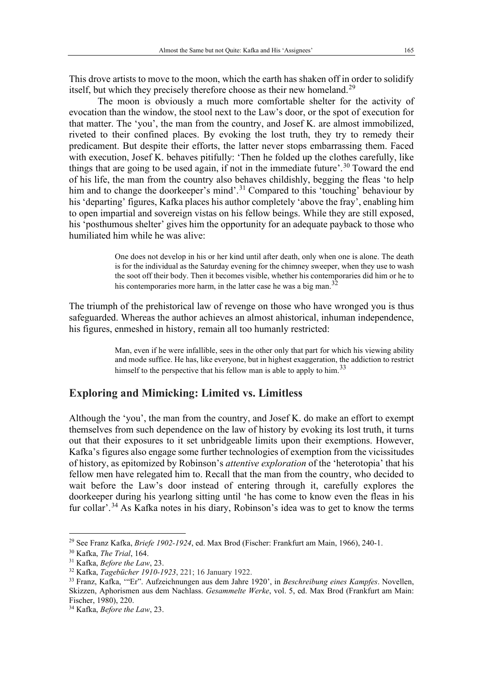This drove artists to move to the moon, which the earth has shaken off in order to solidify itself, but which they precisely therefore choose as their new homeland.<sup>[29](#page-4-0)</sup>

The moon is obviously a much more comfortable shelter for the activity of evocation than the window, the stool next to the Law's door, or the spot of execution for that matter. The 'you', the man from the country, and Josef K. are almost immobilized, riveted to their confined places. By evoking the lost truth, they try to remedy their predicament. But despite their efforts, the latter never stops embarrassing them. Faced with execution, Josef K. behaves pitifully: 'Then he folded up the clothes carefully, like things that are going to be used again, if not in the immediate future'.<sup>[30](#page-4-1)</sup> Toward the end of his life, the man from the country also behaves childishly, begging the fleas 'to help him and to change the doorkeeper's mind'.<sup>[31](#page-4-2)</sup> Compared to this 'touching' behaviour by his 'departing' figures, Kafka places his author completely 'above the fray', enabling him to open impartial and sovereign vistas on his fellow beings. While they are still exposed, his 'posthumous shelter' gives him the opportunity for an adequate payback to those who humiliated him while he was alive:

> One does not develop in his or her kind until after death, only when one is alone. The death is for the individual as the Saturday evening for the chimney sweeper, when they use to wash the soot off their body. Then it becomes visible, whether his contemporaries did him or he to his contemporaries more harm, in the latter case he was a big man.<sup>[32](#page-4-3)</sup>

The triumph of the prehistorical law of revenge on those who have wronged you is thus safeguarded. Whereas the author achieves an almost ahistorical, inhuman independence, his figures, enmeshed in history, remain all too humanly restricted:

> Man, even if he were infallible, sees in the other only that part for which his viewing ability and mode suffice. He has, like everyone, but in highest exaggeration, the addiction to restrict himself to the perspective that his fellow man is able to apply to him.<sup>[33](#page-4-4)</sup>

#### **Exploring and Mimicking: Limited vs. Limitless**

Although the 'you', the man from the country, and Josef K. do make an effort to exempt themselves from such dependence on the law of history by evoking its lost truth, it turns out that their exposures to it set unbridgeable limits upon their exemptions. However, Kafka's figures also engage some further technologies of exemption from the vicissitudes of history, as epitomized by Robinson's *attentive exploration* of the 'heterotopia' that his fellow men have relegated him to. Recall that the man from the country, who decided to wait before the Law's door instead of entering through it, carefully explores the doorkeeper during his yearlong sitting until 'he has come to know even the fleas in his fur collar'.<sup>[34](#page-4-5)</sup> As Kafka notes in his diary, Robinson's idea was to get to know the terms

<span id="page-4-0"></span><sup>29</sup> See Franz Kafka, *Briefe 1902-1924*, ed. Max Brod (Fischer: Frankfurt am Main, 1966), 240-1.

<span id="page-4-2"></span><span id="page-4-1"></span><sup>30</sup> Kafka, *The Trial*, 164.

<sup>31</sup> Kafka, *Before the Law*, 23.

<span id="page-4-3"></span><sup>32</sup> Kafka, *Tagebücher 1910-1923*, 221; 16 January 1922.

<span id="page-4-4"></span><sup>33</sup> Franz, Kafka, '"Er". Aufzeichnungen aus dem Jahre 1920', in *Beschreibung eines Kampfes*. Novellen, Skizzen, Aphorismen aus dem Nachlass. *Gesammelte Werke*, vol. 5, ed. Max Brod (Frankfurt am Main: Fischer, 1980), 220.

<span id="page-4-5"></span><sup>34</sup> Kafka, *Before the Law*, 23.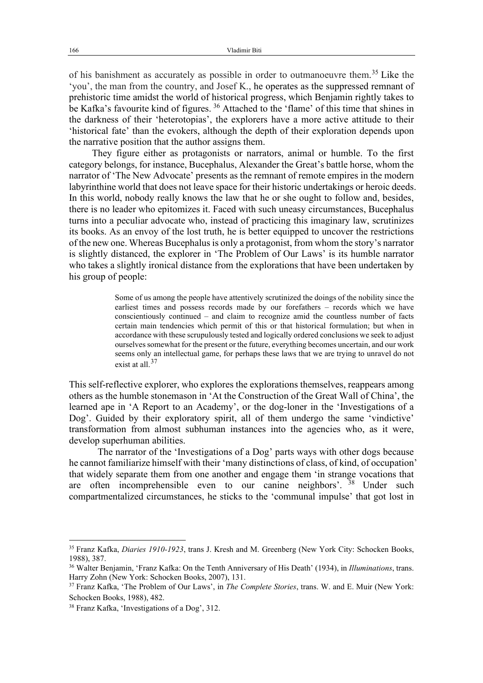of his banishment as accurately as possible in order to outmanoeuvre them. [35](#page-5-0) Like the 'you', the man from the country, and Josef K., he operates as the suppressed remnant of prehistoric time amidst the world of historical progress, which Benjamin rightly takes to be Kafka's favourite kind of figures. [36](#page-5-1) Attached to the 'flame' of this time that shines in the darkness of their 'heterotopias', the explorers have a more active attitude to their 'historical fate' than the evokers, although the depth of their exploration depends upon the narrative position that the author assigns them.

They figure either as protagonists or narrators, animal or humble. To the first category belongs, for instance, Bucephalus, Alexander the Great's battle horse, whom the narrator of 'The New Advocate' presents as the remnant of remote empires in the modern labyrinthine world that does not leave space for their historic undertakings or heroic deeds. In this world, nobody really knows the law that he or she ought to follow and, besides, there is no leader who epitomizes it. Faced with such uneasy circumstances, Bucephalus turns into a peculiar advocate who, instead of practicing this imaginary law, scrutinizes its books. As an envoy of the lost truth, he is better equipped to uncover the restrictions of the new one. Whereas Bucephalus is only a protagonist, from whom the story's narrator is slightly distanced, the explorer in 'The Problem of Our Laws' is its humble narrator who takes a slightly ironical distance from the explorations that have been undertaken by his group of people:

> Some of us among the people have attentively scrutinized the doings of the nobility since the earliest times and possess records made by our forefathers – records which we have conscientiously continued – and claim to recognize amid the countless number of facts certain main tendencies which permit of this or that historical formulation; but when in accordance with these scrupulously tested and logically ordered conclusions we seek to adjust ourselves somewhat for the present or the future, everything becomes uncertain, and our work seems only an intellectual game, for perhaps these laws that we are trying to unravel do not exist at all.<sup>[37](#page-5-2)</sup>

This self-reflective explorer, who explores the explorations themselves, reappears among others as the humble stonemason in 'At the Construction of the Great Wall of China', the learned ape in 'A Report to an Academy', or the dog-loner in the 'Investigations of a Dog'. Guided by their exploratory spirit, all of them undergo the same 'vindictive' transformation from almost subhuman instances into the agencies who, as it were, develop superhuman abilities.

The narrator of the 'Investigations of a Dog' parts ways with other dogs because he cannot familiarize himself with their 'many distinctions of class, of kind, of occupation' that widely separate them from one another and engage them 'in strange vocations that are often incomprehensible even to our canine neighbors'. <sup>[38](#page-5-3)</sup> Under such compartmentalized circumstances, he sticks to the 'communal impulse' that got lost in

<span id="page-5-0"></span><sup>35</sup> Franz Kafka, *Diaries 1910-1923*, trans J. Kresh and M. Greenberg [\(New York City:](https://en.wikipedia.org/wiki/New_York_City) [Schocken Books,](https://en.wikipedia.org/wiki/Schocken_Books) 1988), 387.

<span id="page-5-1"></span><sup>36</sup> Walter Benjamin, 'Franz Kafka: On the Tenth Anniversary of His Death' (1934), in *Illuminations*, trans. Harry Zohn (New York: Schocken Books, 2007), 131.

<span id="page-5-2"></span><sup>37</sup> Franz Kafka, 'The Problem of Our Laws', in *The Complete Stories*, trans. W. and E. Muir (New York: Schocken Books, 1988), 482.

<span id="page-5-3"></span><sup>38</sup> Franz Kafka, 'Investigations of a Dog', 312.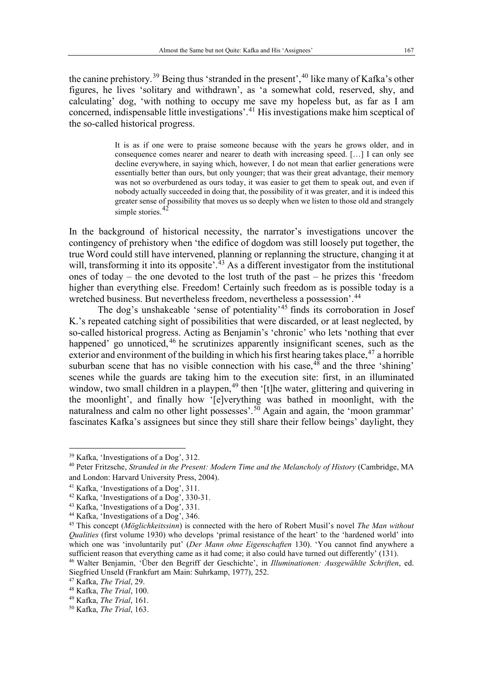the canine prehistory.<sup>[39](#page-6-0)</sup> Being thus 'stranded in the present',<sup>[40](#page-6-1)</sup> like many of Kafka's other figures, he lives 'solitary and withdrawn', as 'a somewhat cold, reserved, shy, and calculating' dog, 'with nothing to occupy me save my hopeless but, as far as I am concerned, indispensable little investigations'. [41](#page-6-2) His investigations make him sceptical of the so-called historical progress.

> It is as if one were to praise someone because with the years he grows older, and in consequence comes nearer and nearer to death with increasing speed. […] I can only see decline everywhere, in saying which, however, I do not mean that earlier generations were essentially better than ours, but only younger; that was their great advantage, their memory was not so overburdened as ours today, it was easier to get them to speak out, and even if nobody actually succeeded in doing that, the possibility of it was greater, and it is indeed this greater sense of possibility that moves us so deeply when we listen to those old and strangely simple stories.  $42$

In the background of historical necessity, the narrator's investigations uncover the contingency of prehistory when 'the edifice of dogdom was still loosely put together, the true Word could still have intervened, planning or replanning the structure, changing it at will, transforming it into its opposite'.<sup>[43](#page-6-4)</sup> As a different investigator from the institutional ones of today – the one devoted to the lost truth of the past – he prizes this 'freedom higher than everything else. Freedom! Certainly such freedom as is possible today is a wretched business. But nevertheless freedom, nevertheless a possession'.<sup>[44](#page-6-5)</sup>

The dog's unshakeable 'sense of potentiality'<sup>[45](#page-6-6)</sup> finds its corroboration in Josef K.'s repeated catching sight of possibilities that were discarded, or at least neglected, by so-called historical progress. Acting as Benjamin's 'chronic' who lets 'nothing that ever happened' go unnoticed, <sup>[46](#page-6-7)</sup> he scrutinizes apparently insignificant scenes, such as the exterior and environment of the building in which his first hearing takes place,<sup>[47](#page-6-8)</sup> a horrible suburban scene that has no visible connection with his case,  $48$  and the three 'shining' scenes while the guards are taking him to the execution site: first, in an illuminated window, two small children in a playpen,<sup>[49](#page-6-10)</sup> then '[t]he water, glittering and quivering in the moonlight', and finally how '[e]verything was bathed in moonlight, with the naturalness and calm no other light possesses'.<sup>[50](#page-6-11)</sup> Again and again, the 'moon grammar' fascinates Kafka's assignees but since they still share their fellow beings' daylight, they

<span id="page-6-0"></span><sup>39</sup> Kafka, 'Investigations of a Dog', 312.

<span id="page-6-1"></span><sup>40</sup> Peter Fritzsche, *Stranded in the Present: Modern Time and the Melancholy of History* (Cambridge, MA and London: Harvard University Press, 2004).

<span id="page-6-2"></span><sup>41</sup> Kafka, 'Investigations of a Dog', 311.

<span id="page-6-3"></span><sup>42</sup> Kafka, 'Investigations of a Dog', 330-31.

<span id="page-6-4"></span><sup>43</sup> Kafka, 'Investigations of a Dog', 331.

<span id="page-6-5"></span><sup>44</sup> Kafka, 'Investigations of a Dog', 346.

<span id="page-6-6"></span><sup>45</sup> This concept (*Möglichkeitssinn*) is connected with the hero of Robert Musil's novel *The Man without Qualities* (first volume 1930) who develops 'primal resistance of the heart' to the 'hardened world' into which one was 'involuntarily put' (*Der Mann ohne Eigenschaften* 130). 'You cannot find anywhere a sufficient reason that everything came as it had come; it also could have turned out differently' (131).

<span id="page-6-7"></span><sup>46</sup> Walter Benjamin, 'Über den Begriff der Geschichte', in *Illuminationen: Ausgewählte Schriften*, ed. Siegfried Unseld (Frankfurt am Main: Suhrkamp, 1977), 252.

<span id="page-6-8"></span><sup>47</sup> Kafka, *The Trial*, 29.

<span id="page-6-9"></span><sup>48</sup> Kafka, *The Trial*, 100.

<span id="page-6-10"></span><sup>49</sup> Kafka, *The Trial*, 161.

<span id="page-6-11"></span><sup>50</sup> Kafka, *The Trial*, 163.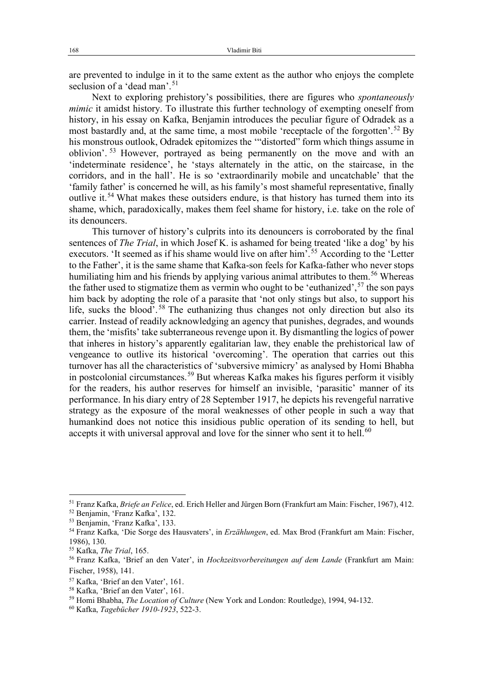are prevented to indulge in it to the same extent as the author who enjoys the complete seclusion of a 'dead man'.<sup>[51](#page-7-0)</sup>

Next to exploring prehistory's possibilities, there are figures who *spontaneously mimic* it amidst history. To illustrate this further technology of exempting oneself from history, in his essay on Kafka, Benjamin introduces the peculiar figure of Odradek as a most bastardly and, at the same time, a most mobile 'receptacle of the forgotten'.<sup>[52](#page-7-1)</sup> By his monstrous outlook, Odradek epitomizes the '"distorted" form which things assume in oblivion'. [53](#page-7-2) However, portrayed as being permanently on the move and with an 'indeterminate residence', he 'stays alternately in the attic, on the staircase, in the corridors, and in the hall'. He is so 'extraordinarily mobile and uncatchable' that the 'family father' is concerned he will, as his family's most shameful representative, finally outlive it.<sup>[54](#page-7-3)</sup> What makes these outsiders endure, is that history has turned them into its shame, which, paradoxically, makes them feel shame for history, i.e. take on the role of its denouncers.

This turnover of history's culprits into its denouncers is corroborated by the final sentences of *The Trial*, in which Josef K. is ashamed for being treated 'like a dog' by his executors. 'It seemed as if his shame would live on after him'.<sup>[55](#page-7-4)</sup> According to the 'Letter' to the Father', it is the same shame that Kafka-son feels for Kafka-father who never stops humiliating him and his friends by applying various animal attributes to them.<sup>[56](#page-7-5)</sup> Whereas the father used to stigmatize them as vermin who ought to be 'euthanized',  $57$  the son pays him back by adopting the role of a parasite that 'not only stings but also, to support his life, sucks the blood'. [58](#page-7-7) The euthanizing thus changes not only direction but also its carrier. Instead of readily acknowledging an agency that punishes, degrades, and wounds them, the 'misfits' take subterraneous revenge upon it. By dismantling the logics of power that inheres in history's apparently egalitarian law, they enable the prehistorical law of vengeance to outlive its historical 'overcoming'. The operation that carries out this turnover has all the characteristics of 'subversive mimicry' as analysed by Homi Bhabha in postcolonial circumstances. [59](#page-7-8) But whereas Kafka makes his figures perform it visibly for the readers, his author reserves for himself an invisible, 'parasitic' manner of its performance. In his diary entry of 28 September 1917, he depicts his revengeful narrative strategy as the exposure of the moral weaknesses of other people in such a way that humankind does not notice this insidious public operation of its sending to hell, but accepts it with universal approval and love for the sinner who sent it to hell.<sup>[60](#page-7-9)</sup>

<span id="page-7-0"></span><sup>51</sup> Franz Kafka, *Briefe an Felice*, ed. Erich Heller and Jürgen Born (Frankfurt am Main: Fischer, 1967), 412.

<span id="page-7-1"></span><sup>52</sup> Benjamin, 'Franz Kafka', 132.

<span id="page-7-2"></span><sup>53</sup> Benjamin, 'Franz Kafka', 133.

<span id="page-7-3"></span><sup>54</sup> Franz Kafka, 'Die Sorge des Hausvaters', in *Erzählungen*, ed. Max Brod (Frankfurt am Main: Fischer, 1986), 130.

<span id="page-7-4"></span><sup>55</sup> Kafka, *The Trial*, 165.

<span id="page-7-5"></span><sup>56</sup> Franz Kafka, 'Brief an den Vater', in *Hochzeitsvorbereitungen auf dem Lande* (Frankfurt am Main: Fischer, 1958), 141.

<span id="page-7-6"></span><sup>57</sup> Kafka, 'Brief an den Vater', 161.

<span id="page-7-7"></span><sup>58</sup> Kafka, 'Brief an den Vater', 161.

<span id="page-7-8"></span><sup>59</sup> Homi Bhabha, *The Location of Culture* (New York and London: Routledge), 1994, 94-132.

<span id="page-7-9"></span><sup>60</sup> Kafka, *Tagebücher 1910-1923*, 522-3.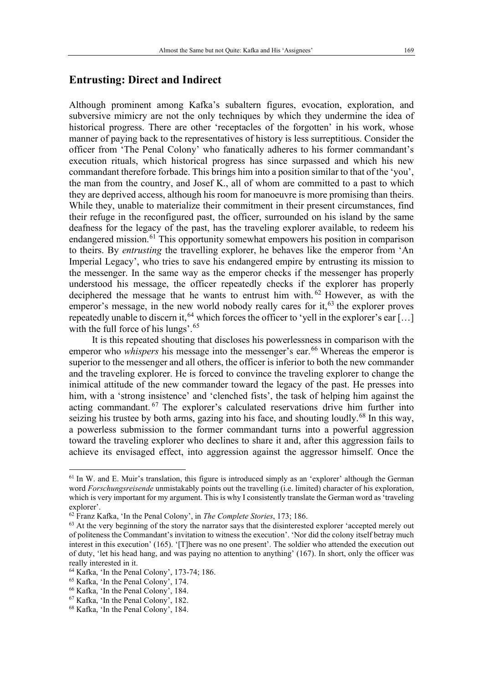# **Entrusting: Direct and Indirect**

Although prominent among Kafka's subaltern figures, evocation, exploration, and subversive mimicry are not the only techniques by which they undermine the idea of historical progress. There are other 'receptacles of the forgotten' in his work, whose manner of paying back to the representatives of history is less surreptitious. Consider the officer from 'The Penal Colony' who fanatically adheres to his former commandant's execution rituals, which historical progress has since surpassed and which his new commandant therefore forbade. This brings him into a position similar to that of the 'you', the man from the country, and Josef K., all of whom are committed to a past to which they are deprived access, although his room for manoeuvre is more promising than theirs. While they, unable to materialize their commitment in their present circumstances, find their refuge in the reconfigured past, the officer, surrounded on his island by the same deafness for the legacy of the past, has the traveling explorer available, to redeem his endangered mission.<sup>[61](#page-8-0)</sup> This opportunity somewhat empowers his position in comparison to theirs. By *entrusting* the travelling explorer, he behaves like the emperor from 'An Imperial Legacy', who tries to save his endangered empire by entrusting its mission to the messenger. In the same way as the emperor checks if the messenger has properly understood his message, the officer repeatedly checks if the explorer has properly deciphered the message that he wants to entrust him with. [62](#page-8-1) However, as with the emperor's message, in the new world nobody really cares for it,<sup>[63](#page-8-2)</sup> the explorer proves repeatedly unable to discern it,  $^{64}$  $^{64}$  $^{64}$  which forces the officer to 'yell in the explorer's ear [...] with the full force of his lungs'.<sup>[65](#page-8-4)</sup>

It is this repeated shouting that discloses his powerlessness in comparison with the emperor who *whispers* his message into the messenger's ear.<sup>[66](#page-8-5)</sup> Whereas the emperor is superior to the messenger and all others, the officer is inferior to both the new commander and the traveling explorer. He is forced to convince the traveling explorer to change the inimical attitude of the new commander toward the legacy of the past. He presses into him, with a 'strong insistence' and 'clenched fists', the task of helping him against the acting commandant. [67](#page-8-6) The explorer's calculated reservations drive him further into seizing his trustee by both arms, gazing into his face, and shouting loudly.<sup>[68](#page-8-7)</sup> In this way, a powerless submission to the former commandant turns into a powerful aggression toward the traveling explorer who declines to share it and, after this aggression fails to achieve its envisaged effect, into aggression against the aggressor himself. Once the

<span id="page-8-0"></span><sup>&</sup>lt;sup>61</sup> In W. and E. Muir's translation, this figure is introduced simply as an 'explorer' although the German word *Forschungsreisende* unmistakably points out the travelling (i.e. limited) character of his exploration, which is very important for my argument. This is why I consistently translate the German word as 'traveling explorer'.

<span id="page-8-1"></span><sup>62</sup> Franz Kafka, 'In the Penal Colony', in *The Complete Stories*, 173; 186.

<span id="page-8-2"></span><sup>&</sup>lt;sup>63</sup> At the very beginning of the story the narrator says that the disinterested explorer 'accepted merely out of politeness the Commandant's invitation to witness the execution'. 'Nor did the colony itself betray much interest in this execution' (165). '[T]here was no one present'. The soldier who attended the execution out of duty, 'let his head hang, and was paying no attention to anything' (167). In short, only the officer was really interested in it.

<span id="page-8-3"></span><sup>64</sup> Kafka, 'In the Penal Colony', 173-74; 186.

<span id="page-8-4"></span><sup>65</sup> Kafka, 'In the Penal Colony', 174.

<span id="page-8-5"></span><sup>66</sup> Kafka, 'In the Penal Colony', 184.

<span id="page-8-6"></span><sup>67</sup> Kafka, 'In the Penal Colony', 182.

<span id="page-8-7"></span><sup>68</sup> Kafka, 'In the Penal Colony', 184.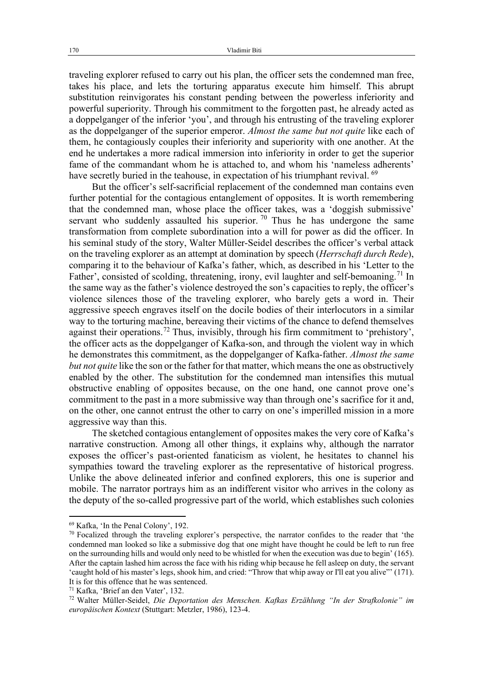traveling explorer refused to carry out his plan, the officer sets the condemned man free, takes his place, and lets the torturing apparatus execute him himself. This abrupt substitution reinvigorates his constant pending between the powerless inferiority and powerful superiority. Through his commitment to the forgotten past, he already acted as a doppelganger of the inferior 'you', and through his entrusting of the traveling explorer as the doppelganger of the superior emperor. *Almost the same but not quite* like each of them, he contagiously couples their inferiority and superiority with one another. At the end he undertakes a more radical immersion into inferiority in order to get the superior fame of the commandant whom he is attached to, and whom his 'nameless adherents' have secretly buried in the teahouse, in expectation of his triumphant revival. <sup>[69](#page-9-0)</sup>

But the officer's self-sacrificial replacement of the condemned man contains even further potential for the contagious entanglement of opposites. It is worth remembering that the condemned man, whose place the officer takes, was a 'doggish submissive' servant who suddenly assaulted his superior.  $\frac{70}{10}$  $\frac{70}{10}$  $\frac{70}{10}$  Thus he has undergone the same transformation from complete subordination into a will for power as did the officer. In his seminal study of the story, Walter Müller-Seidel describes the officer's verbal attack on the traveling explorer as an attempt at domination by speech (*Herrschaft durch Rede*), comparing it to the behaviour of Kafka's father, which, as described in his 'Letter to the Father', consisted of scolding, threatening, irony, evil laughter and self-bemoaning.<sup>[71](#page-9-2)</sup> In the same way as the father's violence destroyed the son's capacities to reply, the officer's violence silences those of the traveling explorer, who barely gets a word in. Their aggressive speech engraves itself on the docile bodies of their interlocutors in a similar way to the torturing machine, bereaving their victims of the chance to defend themselves against their operations.<sup>[72](#page-9-3)</sup> Thus, invisibly, through his firm commitment to 'prehistory', the officer acts as the doppelganger of Kafka-son, and through the violent way in which he demonstrates this commitment, as the doppelganger of Kafka-father. *Almost the same but not quite* like the son or the father for that matter, which means the one as obstructively enabled by the other. The substitution for the condemned man intensifies this mutual obstructive enabling of opposites because, on the one hand, one cannot prove one's commitment to the past in a more submissive way than through one's sacrifice for it and, on the other, one cannot entrust the other to carry on one's imperilled mission in a more aggressive way than this.

The sketched contagious entanglement of opposites makes the very core of Kafka's narrative construction. Among all other things, it explains why, although the narrator exposes the officer's past-oriented fanaticism as violent, he hesitates to channel his sympathies toward the traveling explorer as the representative of historical progress. Unlike the above delineated inferior and confined explorers, this one is superior and mobile. The narrator portrays him as an indifferent visitor who arrives in the colony as the deputy of the so-called progressive part of the world, which establishes such colonies

<span id="page-9-0"></span><sup>69</sup> Kafka, 'In the Penal Colony', 192.

<span id="page-9-1"></span> $70$  Focalized through the traveling explorer's perspective, the narrator confides to the reader that 'the condemned man looked so like a submissive dog that one might have thought he could be left to run free on the surrounding hills and would only need to be whistled for when the execution was due to begin' (165). After the captain lashed him across the face with his riding whip because he fell asleep on duty, the servant 'caught hold of his master's legs, shook him, and cried: "Throw that whip away or I'll eat you alive"' (171). It is for this offence that he was sentenced.

<sup>71</sup> Kafka, 'Brief an den Vater', 132.

<span id="page-9-3"></span><span id="page-9-2"></span><sup>72</sup> Walter Müller-Seidel, *Die Deportation des Menschen. Kafkas Erzählung "In der Strafkolonie" im europäischen Kontext* (Stuttgart: Metzler, 1986), 123-4.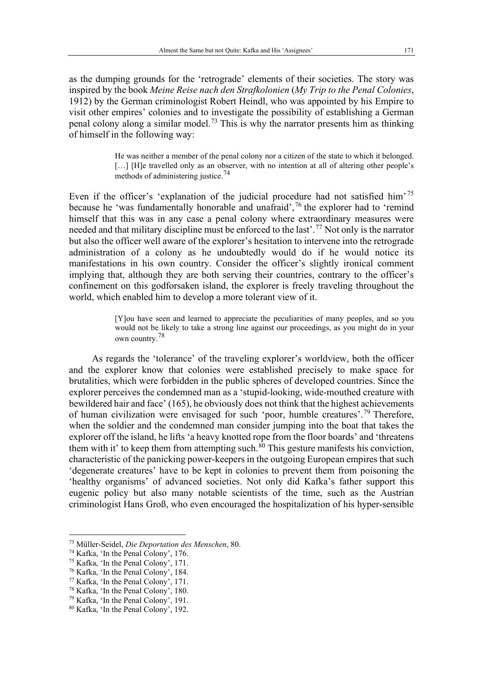as the dumping grounds for the 'retrograde' elements of their societies. The story was inspired by the book *Meine Reise nach den Strafkolonien* (*My Trip to the Penal Colonies*, 1912) by the German criminologist Robert Heindl, who was appointed by his Empire to visit other empires' colonies and to investigate the possibility of establishing a German penal colony along a similar model.<sup>[73](#page-10-0)</sup> This is why the narrator presents him as thinking of himself in the following way:

> He was neither a member of the penal colony nor a citizen of the state to which it belonged. [...] [H]e travelled only as an observer, with no intention at all of altering other people's methods of administering justice.[74](#page-10-1)

Even if the officer's 'explanation of the judicial procedure had not satisfied him'<sup>[75](#page-10-2)</sup> because he 'was fundamentally honorable and unafraid', [76](#page-10-3) the explorer had to 'remind himself that this was in any case a penal colony where extraordinary measures were needed and that military discipline must be enforced to the last'.[77](#page-10-4) Not only is the narrator but also the officer well aware of the explorer's hesitation to intervene into the retrograde administration of a colony as he undoubtedly would do if he would notice its manifestations in his own country. Consider the officer's slightly ironical comment implying that, although they are both serving their countries, contrary to the officer's confinement on this godforsaken island, the explorer is freely traveling throughout the world, which enabled him to develop a more tolerant view of it.

> [Y]ou have seen and learned to appreciate the peculiarities of many peoples, and so you would not be likely to take a strong line against our proceedings, as you might do in your own country.[78](#page-10-5)

As regards the 'tolerance' of the traveling explorer's worldview, both the officer and the explorer know that colonies were established precisely to make space for brutalities, which were forbidden in the public spheres of developed countries. Since the explorer perceives the condemned man as a 'stupid-looking, wide-mouthed creature with bewildered hair and face' (165), he obviously does not think that the highest achievements of human civilization were envisaged for such 'poor, humble creatures'.<sup>[79](#page-10-6)</sup> Therefore, when the soldier and the condemned man consider jumping into the boat that takes the explorer off the island, he lifts 'a heavy knotted rope from the floor boards' and 'threatens them with it' to keep them from attempting such.<sup>[80](#page-10-7)</sup> This gesture manifests his conviction, characteristic of the panicking power-keepers in the outgoing European empires that such 'degenerate creatures' have to be kept in colonies to prevent them from poisoning the 'healthy organisms' of advanced societies. Not only did Kafka's father support this eugenic policy but also many notable scientists of the time, such as the Austrian criminologist Hans Groß, who even encouraged the hospitalization of his hyper-sensible

<span id="page-10-0"></span><sup>73</sup> Müller-Seidel, *Die Deportation des Menschen*, 80.

<span id="page-10-1"></span><sup>74</sup> Kafka, 'In the Penal Colony', 176.

<span id="page-10-2"></span><sup>75</sup> Kafka, 'In the Penal Colony', 171.

<span id="page-10-3"></span><sup>76</sup> Kafka, 'In the Penal Colony', 184.

<span id="page-10-4"></span><sup>77</sup> Kafka, 'In the Penal Colony', 171.

<span id="page-10-5"></span><sup>78</sup> Kafka, 'In the Penal Colony', 180.

<span id="page-10-6"></span><sup>79</sup> Kafka, 'In the Penal Colony', 191.

<span id="page-10-7"></span><sup>80</sup> Kafka, 'In the Penal Colony', 192.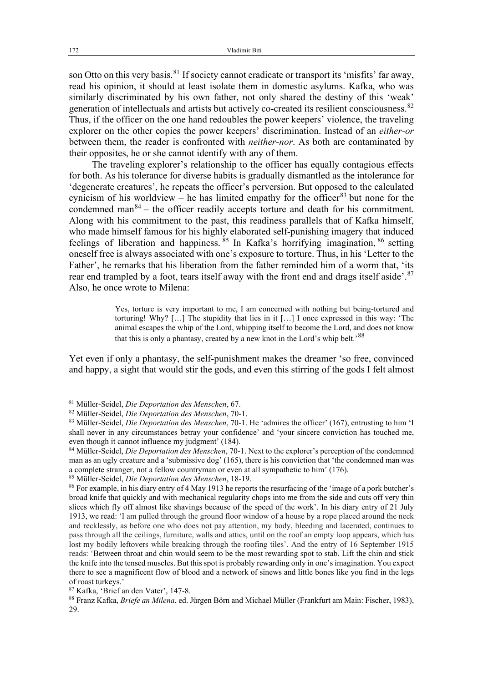son Otto on this very basis.<sup>[81](#page-11-0)</sup> If society cannot eradicate or transport its 'misfits' far away, read his opinion, it should at least isolate them in domestic asylums. Kafka, who was similarly discriminated by his own father, not only shared the destiny of this 'weak' generation of intellectuals and artists but actively co-created its resilient consciousness. <sup>[82](#page-11-1)</sup> Thus, if the officer on the one hand redoubles the power keepers' violence, the traveling explorer on the other copies the power keepers' discrimination. Instead of an *either-or* between them, the reader is confronted with *neither-nor*. As both are contaminated by their opposites, he or she cannot identify with any of them.

The traveling explorer's relationship to the officer has equally contagious effects for both. As his tolerance for diverse habits is gradually dismantled as the intolerance for 'degenerate creatures', he repeats the officer's perversion. But opposed to the calculated cynicism of his worldview – he has limited empathy for the officer<sup>[83](#page-11-2)</sup> but none for the condemned man $84$  – the officer readily accepts torture and death for his commitment. Along with his commitment to the past, this readiness parallels that of Kafka himself, who made himself famous for his highly elaborated self-punishing imagery that induced feelings of liberation and happiness.  $\frac{85}{5}$  $\frac{85}{5}$  $\frac{85}{5}$  In Kafka's horrifying imagination,  $\frac{86}{5}$  $\frac{86}{5}$  $\frac{86}{5}$  setting oneself free is always associated with one's exposure to torture. Thus, in his 'Letter to the Father', he remarks that his liberation from the father reminded him of a worm that, 'its rear end trampled by a foot, tears itself away with the front end and drags itself aside'.<sup>[87](#page-11-6)</sup> Also, he once wrote to Milena:

> Yes, torture is very important to me, I am concerned with nothing but being-tortured and torturing! Why? […] The stupidity that lies in it […] I once expressed in this way: 'The animal escapes the whip of the Lord, whipping itself to become the Lord, and does not know that this is only a phantasy, created by a new knot in the Lord's whip belt.<sup>[88](#page-11-7)</sup>

Yet even if only a phantasy, the self-punishment makes the dreamer 'so free, convinced and happy, a sight that would stir the gods, and even this stirring of the gods I felt almost

<span id="page-11-0"></span><sup>81</sup> Müller-Seidel, *Die Deportation des Menschen*, 67.

<span id="page-11-1"></span><sup>82</sup> Müller-Seidel, *Die Deportation des Menschen*, 70-1.

<span id="page-11-2"></span><sup>83</sup> Müller-Seidel, *Die Deportation des Menschen*, 70-1. He 'admires the officer' (167), entrusting to him 'I shall never in any circumstances betray your confidence' and 'your sincere conviction has touched me, even though it cannot influence my judgment' (184).

<span id="page-11-3"></span><sup>84</sup> Müller-Seidel, *Die Deportation des Menschen*, 70-1. Next to the explorer's perception of the condemned man as an ugly creature and a 'submissive dog' (165), there is his conviction that 'the condemned man was a complete stranger, not a fellow countryman or even at all sympathetic to him' (176).

<span id="page-11-4"></span><sup>85</sup> Müller-Seidel, *Die Deportation des Menschen*, 18-19.

<span id="page-11-5"></span><sup>86</sup> For example, in his diary entry of 4 May 1913 he reports the resurfacing of the 'image of a pork butcher's broad knife that quickly and with mechanical regularity chops into me from the side and cuts off very thin slices which fly off almost like shavings because of the speed of the work'. In his diary entry of 21 July 1913, we read: 'I am pulled through the ground floor window of a house by a rope placed around the neck and recklessly, as before one who does not pay attention, my body, bleeding and lacerated, continues to pass through all the ceilings, furniture, walls and attics, until on the roof an empty loop appears, which has lost my bodily leftovers while breaking through the roofing tiles'. And the entry of 16 September 1915 reads: 'Between throat and chin would seem to be the most rewarding spot to stab. Lift the chin and stick the knife into the tensed muscles. But this spot is probably rewarding only in one's imagination. You expect there to see a magnificent flow of blood and a network of sinews and little bones like you find in the legs of roast turkeys.'

<sup>87</sup> Kafka, 'Brief an den Vater', 147-8.

<span id="page-11-7"></span><span id="page-11-6"></span><sup>88</sup> Franz Kafka, *Briefe an Milena*, ed. Jürgen Börn and Michael Müller (Frankfurt am Main: Fischer, 1983), 29.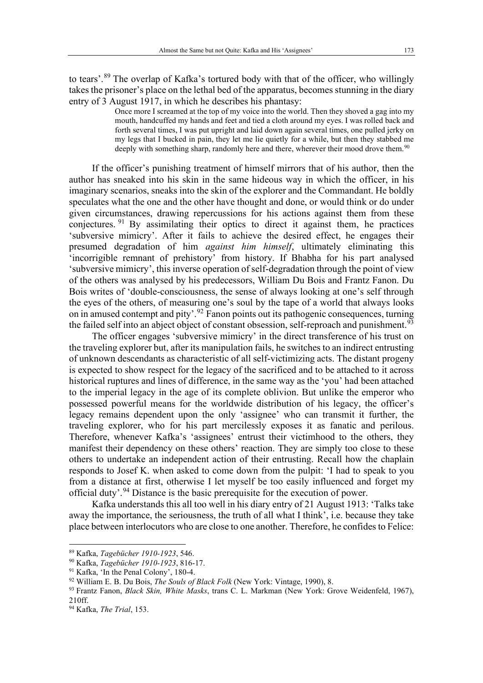to tears'.<sup>[89](#page-12-0)</sup> The overlap of Kafka's tortured body with that of the officer, who willingly takes the prisoner's place on the lethal bed of the apparatus, becomes stunning in the diary entry of 3 August 1917, in which he describes his phantasy:

> Once more I screamed at the top of my voice into the world. Then they shoved a gag into my mouth, handcuffed my hands and feet and tied a cloth around my eyes. I was rolled back and forth several times, I was put upright and laid down again several times, one pulled jerky on my legs that I bucked in pain, they let me lie quietly for a while, but then they stabbed me deeply with something sharp, randomly here and there, wherever their mood drove them.<sup>90</sup>

If the officer's punishing treatment of himself mirrors that of his author, then the author has sneaked into his skin in the same hideous way in which the officer, in his imaginary scenarios, sneaks into the skin of the explorer and the Commandant. He boldly speculates what the one and the other have thought and done, or would think or do under given circumstances, drawing repercussions for his actions against them from these conjectures. [91](#page-12-2) By assimilating their optics to direct it against them, he practices 'subversive mimicry'. After it fails to achieve the desired effect, he engages their presumed degradation of him *against him himself*, ultimately eliminating this 'incorrigible remnant of prehistory' from history. If Bhabha for his part analysed 'subversive mimicry', this inverse operation of self-degradation through the point of view of the others was analysed by his predecessors, William Du Bois and Frantz Fanon. Du Bois writes of 'double-consciousness, the sense of always looking at one's self through the eyes of the others, of measuring one's soul by the tape of a world that always looks on in amused contempt and pity'.<sup>[92](#page-12-3)</sup> Fanon points out its pathogenic consequences, turning the failed self into an abject object of constant obsession, self-reproach and punishment.<sup>[93](#page-12-4)</sup>

The officer engages 'subversive mimicry' in the direct transference of his trust on the traveling explorer but, after its manipulation fails, he switches to an indirect entrusting of unknown descendants as characteristic of all self-victimizing acts. The distant progeny is expected to show respect for the legacy of the sacrificed and to be attached to it across historical ruptures and lines of difference, in the same way as the 'you' had been attached to the imperial legacy in the age of its complete oblivion. But unlike the emperor who possessed powerful means for the worldwide distribution of his legacy, the officer's legacy remains dependent upon the only 'assignee' who can transmit it further, the traveling explorer, who for his part mercilessly exposes it as fanatic and perilous. Therefore, whenever Kafka's 'assignees' entrust their victimhood to the others, they manifest their dependency on these others' reaction. They are simply too close to these others to undertake an independent action of their entrusting. Recall how the chaplain responds to Josef K. when asked to come down from the pulpit: 'I had to speak to you from a distance at first, otherwise I let myself be too easily influenced and forget my official duty'.<sup>[94](#page-12-5)</sup> Distance is the basic prerequisite for the execution of power.

Kafka understands this all too well in his diary entry of 21 August 1913: 'Talks take away the importance, the seriousness, the truth of all what I think', i.e. because they take place between interlocutors who are close to one another. Therefore, he confides to Felice:

<span id="page-12-0"></span><sup>89</sup> Kafka, *Tagebücher 1910-1923*, 546.

<span id="page-12-1"></span><sup>90</sup> Kafka, *Tagebücher 1910-1923*, 816-17.

<span id="page-12-2"></span><sup>91</sup> Kafka, 'In the Penal Colony', 180-4.

<span id="page-12-3"></span><sup>92</sup> William E. B. Du Bois, *The Souls of Black Folk* (New York: Vintage, 1990), 8.

<span id="page-12-4"></span><sup>93</sup> Frantz Fanon, *Black Skin, White Masks*, trans C. L. Markman (New York: Grove Weidenfeld, 1967), 210ff.

<span id="page-12-5"></span><sup>94</sup> Kafka, *The Trial*, 153.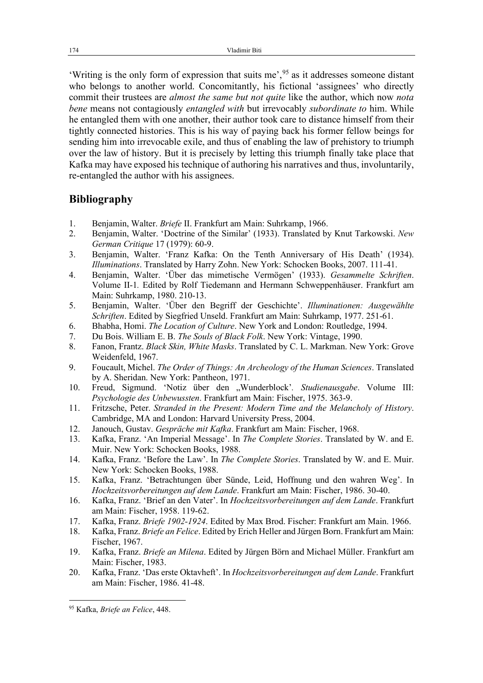'Writing is the only form of expression that suits me', [95](#page-13-0) as it addresses someone distant who belongs to another world. Concomitantly, his fictional 'assignees' who directly commit their trustees are *almost the same but not quite* like the author, which now *nota bene* means not contagiously *entangled with* but irrevocably *subordinate to* him. While he entangled them with one another, their author took care to distance himself from their tightly connected histories. This is his way of paying back his former fellow beings for sending him into irrevocable exile, and thus of enabling the law of prehistory to triumph over the law of history. But it is precisely by letting this triumph finally take place that Kafka may have exposed his technique of authoring his narratives and thus, involuntarily, re-entangled the author with his assignees.

## **Bibliography**

- 1. Benjamin, Walter. *Briefe* II. Frankfurt am Main: Suhrkamp, 1966.
- 2. Benjamin, Walter. 'Doctrine of the Similar' (1933). Translated by Knut Tarkowski. *New German Critique* 17 (1979): 60-9.
- 3. Benjamin, Walter. 'Franz Kafka: On the Tenth Anniversary of His Death' (1934). *Illuminations*. Translated by Harry Zohn. New York: Schocken Books, 2007. 111-41.
- 4. Benjamin, Walter. 'Über das mimetische Vermögen' (1933). *Gesammelte Schriften*. Volume II-1*.* Edited by Rolf Tiedemann and Hermann Schweppenhäuser. Frankfurt am Main: Suhrkamp, 1980. 210-13.
- 5. Benjamin, Walter. 'Über den Begriff der Geschichte'. *Illuminationen: Ausgewählte Schriften*. Edited by Siegfried Unseld. Frankfurt am Main: Suhrkamp, 1977. 251-61.
- 6. Bhabha, Homi. *The Location of Culture*. New York and London: Routledge, 1994.
- 7. Du Bois. William E. B. *The Souls of Black Folk*. New York: Vintage, 1990.
- 8. Fanon, Frantz. *Black Skin, White Masks*. Translated by C. L. Markman. New York: Grove Weidenfeld, 1967.
- 9. Foucault, Michel. *The Order of Things: An Archeology of the Human Sciences*. Translated by A. Sheridan. New York: Pantheon, 1971.
- 10. Freud, Sigmund. 'Notiz über den "Wunderblock'*. Studienausgabe*. Volume III: *Psychologie des Unbewussten*. Frankfurt am Main: Fischer, 1975. 363-9.
- 11. Fritzsche, Peter. *Stranded in the Present: Modern Time and the Melancholy of History*. Cambridge, MA and London: Harvard University Press, 2004.
- 12. Janouch, Gustav. *Gespräche mit Kafka*. Frankfurt am Main: Fischer, 1968.
- 13. Kafka, Franz. 'An Imperial Message'. In *The Complete Stories*. Translated by W. and E. Muir. New York: Schocken Books, 1988.
- 14. Kafka, Franz. 'Before the Law'. In *The Complete Stories*. Translated by W. and E. Muir. New York: Schocken Books, 1988.
- 15. Kafka, Franz. 'Betrachtungen über Sünde, Leid, Hoffnung und den wahren Weg'. In *Hochzeitsvorbereitungen auf dem Lande*. Frankfurt am Main: Fischer, 1986. 30-40.
- 16. Kafka, Franz. 'Brief an den Vater'. In *Hochzeitsvorbereitungen auf dem Lande*. Frankfurt am Main: Fischer, 1958. 119-62.
- 17. Kafka, Franz. *Briefe 1902-1924*. Edited by Max Brod. Fischer: Frankfurt am Main. 1966.
- 18. Kafka, Franz. *Briefe an Felice*. Edited by Erich Heller and Jürgen Born. Frankfurt am Main: Fischer, 1967.
- 19. Kafka, Franz. *Briefe an Milena*. Edited by Jürgen Börn and Michael Müller. Frankfurt am Main: Fischer, 1983.
- 20. Kafka, Franz. 'Das erste Oktavheft'. In *Hochzeitsvorbereitungen auf dem Lande*. Frankfurt am Main: Fischer, 1986. 41-48.

<span id="page-13-0"></span><sup>95</sup> Kafka, *Briefe an Felice*, 448.